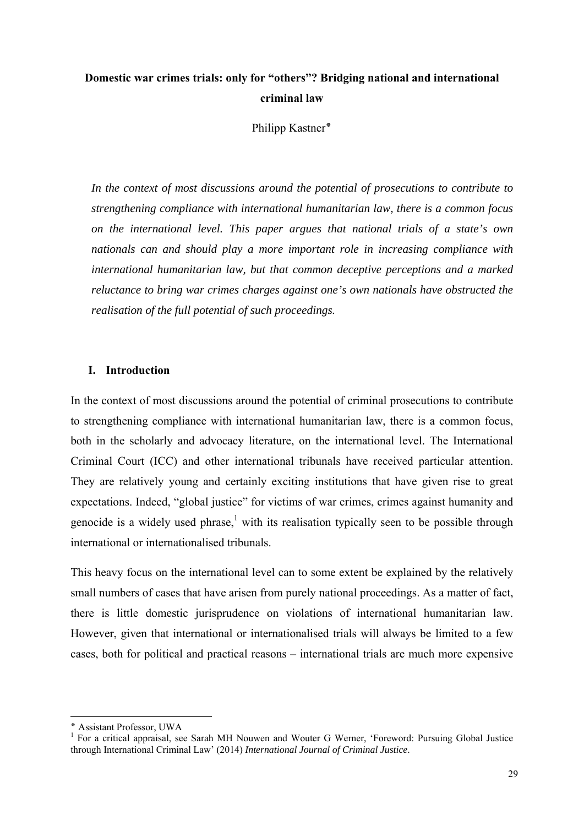## **Domestic war crimes trials: only for "others"? Bridging national and international criminal law**

Philipp Kastner**٭**

*In the context of most discussions around the potential of prosecutions to contribute to strengthening compliance with international humanitarian law, there is a common focus on the international level. This paper argues that national trials of a state's own nationals can and should play a more important role in increasing compliance with international humanitarian law, but that common deceptive perceptions and a marked reluctance to bring war crimes charges against one's own nationals have obstructed the realisation of the full potential of such proceedings.* 

## **I. Introduction**

In the context of most discussions around the potential of criminal prosecutions to contribute to strengthening compliance with international humanitarian law, there is a common focus, both in the scholarly and advocacy literature, on the international level. The International Criminal Court (ICC) and other international tribunals have received particular attention. They are relatively young and certainly exciting institutions that have given rise to great expectations. Indeed, "global justice" for victims of war crimes, crimes against humanity and genocide is a widely used phrase,<sup>1</sup> with its realisation typically seen to be possible through international or internationalised tribunals.

This heavy focus on the international level can to some extent be explained by the relatively small numbers of cases that have arisen from purely national proceedings. As a matter of fact, there is little domestic jurisprudence on violations of international humanitarian law. However, given that international or internationalised trials will always be limited to a few cases, both for political and practical reasons – international trials are much more expensive

<sup>٭</sup> Assistant Professor, UWA

<sup>&</sup>lt;sup>1</sup> For a critical appraisal, see Sarah MH Nouwen and Wouter G Werner, 'Foreword: Pursuing Global Justice through International Criminal Law' (2014) *International Journal of Criminal Justice*.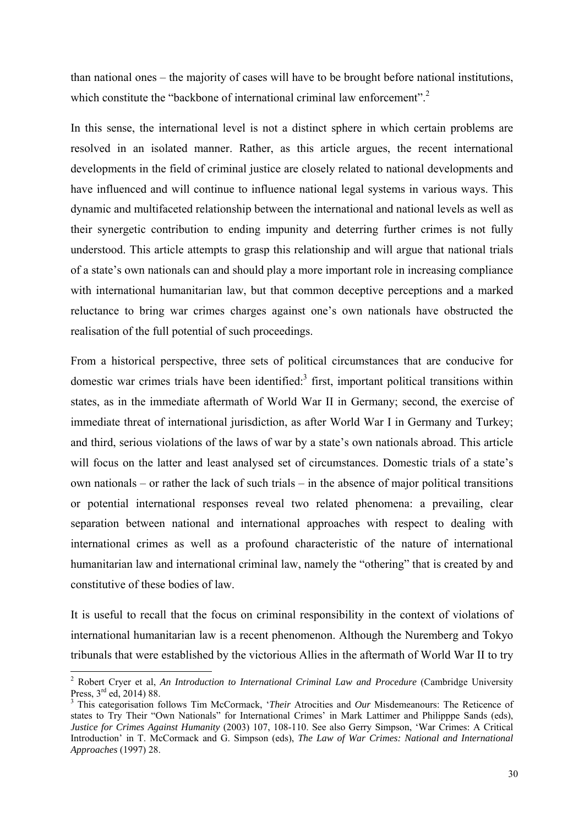than national ones – the majority of cases will have to be brought before national institutions, which constitute the "backbone of international criminal law enforcement".<sup>2</sup>

In this sense, the international level is not a distinct sphere in which certain problems are resolved in an isolated manner. Rather, as this article argues, the recent international developments in the field of criminal justice are closely related to national developments and have influenced and will continue to influence national legal systems in various ways. This dynamic and multifaceted relationship between the international and national levels as well as their synergetic contribution to ending impunity and deterring further crimes is not fully understood. This article attempts to grasp this relationship and will argue that national trials of a state's own nationals can and should play a more important role in increasing compliance with international humanitarian law, but that common deceptive perceptions and a marked reluctance to bring war crimes charges against one's own nationals have obstructed the realisation of the full potential of such proceedings.

From a historical perspective, three sets of political circumstances that are conducive for domestic war crimes trials have been identified: $3$  first, important political transitions within states, as in the immediate aftermath of World War II in Germany; second, the exercise of immediate threat of international jurisdiction, as after World War I in Germany and Turkey; and third, serious violations of the laws of war by a state's own nationals abroad. This article will focus on the latter and least analysed set of circumstances. Domestic trials of a state's own nationals – or rather the lack of such trials – in the absence of major political transitions or potential international responses reveal two related phenomena: a prevailing, clear separation between national and international approaches with respect to dealing with international crimes as well as a profound characteristic of the nature of international humanitarian law and international criminal law, namely the "othering" that is created by and constitutive of these bodies of law.

It is useful to recall that the focus on criminal responsibility in the context of violations of international humanitarian law is a recent phenomenon. Although the Nuremberg and Tokyo tribunals that were established by the victorious Allies in the aftermath of World War II to try

<sup>&</sup>lt;sup>2</sup> Robert Cryer et al, *An Introduction to International Criminal Law and Procedure* (Cambridge University Press,  $3^{rd}$  ed, 2014) 88.

This categorisation follows Tim McCormack, '*Their* Atrocities and *Our* Misdemeanours: The Reticence of states to Try Their "Own Nationals" for International Crimes' in Mark Lattimer and Philipppe Sands (eds), *Justice for Crimes Against Humanity* (2003) 107, 108-110. See also Gerry Simpson, 'War Crimes: A Critical Introduction' in T. McCormack and G. Simpson (eds), *The Law of War Crimes: National and International Approaches* (1997) 28.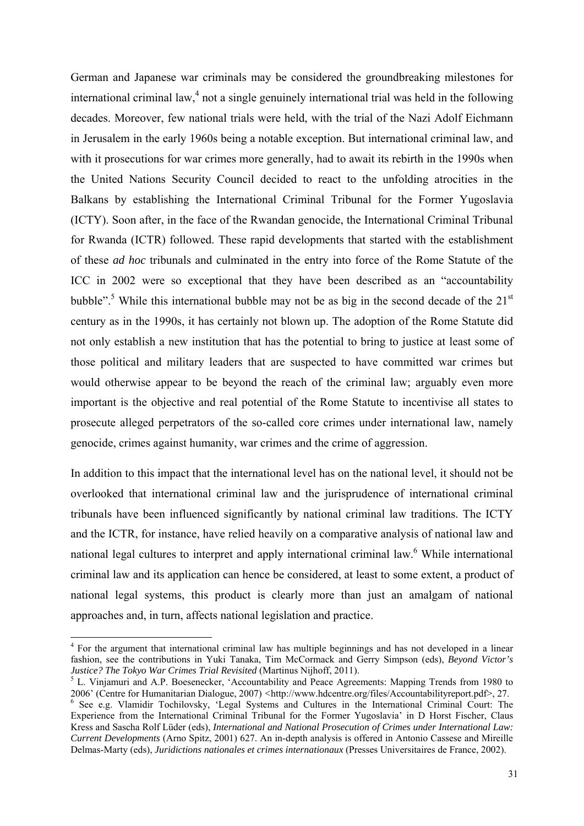German and Japanese war criminals may be considered the groundbreaking milestones for international criminal law, $<sup>4</sup>$  not a single genuinely international trial was held in the following</sup> decades. Moreover, few national trials were held, with the trial of the Nazi Adolf Eichmann in Jerusalem in the early 1960s being a notable exception. But international criminal law, and with it prosecutions for war crimes more generally, had to await its rebirth in the 1990s when the United Nations Security Council decided to react to the unfolding atrocities in the Balkans by establishing the International Criminal Tribunal for the Former Yugoslavia (ICTY). Soon after, in the face of the Rwandan genocide, the International Criminal Tribunal for Rwanda (ICTR) followed. These rapid developments that started with the establishment of these *ad hoc* tribunals and culminated in the entry into force of the Rome Statute of the ICC in 2002 were so exceptional that they have been described as an "accountability bubble".<sup>5</sup> While this international bubble may not be as big in the second decade of the  $21<sup>st</sup>$ century as in the 1990s, it has certainly not blown up. The adoption of the Rome Statute did not only establish a new institution that has the potential to bring to justice at least some of those political and military leaders that are suspected to have committed war crimes but would otherwise appear to be beyond the reach of the criminal law; arguably even more important is the objective and real potential of the Rome Statute to incentivise all states to prosecute alleged perpetrators of the so-called core crimes under international law, namely genocide, crimes against humanity, war crimes and the crime of aggression.

In addition to this impact that the international level has on the national level, it should not be overlooked that international criminal law and the jurisprudence of international criminal tribunals have been influenced significantly by national criminal law traditions. The ICTY and the ICTR, for instance, have relied heavily on a comparative analysis of national law and national legal cultures to interpret and apply international criminal law.<sup>6</sup> While international criminal law and its application can hence be considered, at least to some extent, a product of national legal systems, this product is clearly more than just an amalgam of national approaches and, in turn, affects national legislation and practice.

<sup>&</sup>lt;sup>4</sup> For the argument that international criminal law has multiple beginnings and has not developed in a linear fashion, see the contributions in Yuki Tanaka, Tim McCormack and Gerry Simpson (eds), *Beyond Victor's Justice? The Tokyo War Crimes Trial Revisited* (Martinus Nijhoff, 2011).

<sup>&</sup>lt;sup>5</sup> L. Vinjamuri and A.P. Boesenecker, 'Accountability and Peace Agreements: Mapping Trends from 1980 to 2006' (Centre for Humanitarian Dialogue, 2007) *<*http://www.hdcentre.org/files/Accountabilityreport.pdf>, 27. 6

<sup>&</sup>lt;sup>6</sup> See e.g. Vlamidir Tochilovsky, 'Legal Systems and Cultures in the International Criminal Court: The Experience from the International Criminal Tribunal for the Former Yugoslavia' in D Horst Fischer, Claus Kress and Sascha Rolf Lüder (eds), *International and National Prosecution of Crimes under International Law: Current Developments* (Arno Spitz, 2001) 627. An in-depth analysis is offered in Antonio Cassese and Mireille Delmas-Marty (eds), *Juridictions nationales et crimes internationaux* (Presses Universitaires de France, 2002).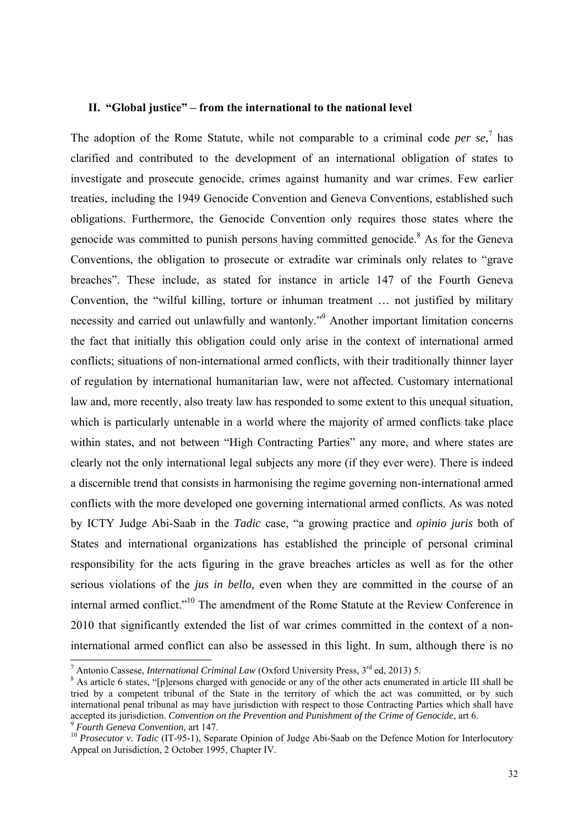### **II. "Global justice" – from the international to the national level**

The adoption of the Rome Statute, while not comparable to a criminal code *per se*,<sup>7</sup> has clarified and contributed to the development of an international obligation of states to investigate and prosecute genocide, crimes against humanity and war crimes. Few earlier treaties, including the 1949 Genocide Convention and Geneva Conventions, established such obligations. Furthermore, the Genocide Convention only requires those states where the genocide was committed to punish persons having committed genocide.<sup>8</sup> As for the Geneva Conventions, the obligation to prosecute or extradite war criminals only relates to "grave breaches". These include, as stated for instance in article 147 of the Fourth Geneva Convention, the "wilful killing, torture or inhuman treatment … not justified by military necessity and carried out unlawfully and wantonly."<sup>9</sup> Another important limitation concerns the fact that initially this obligation could only arise in the context of international armed conflicts; situations of non-international armed conflicts, with their traditionally thinner layer of regulation by international humanitarian law, were not affected. Customary international law and, more recently, also treaty law has responded to some extent to this unequal situation, which is particularly untenable in a world where the majority of armed conflicts take place within states, and not between "High Contracting Parties" any more, and where states are clearly not the only international legal subjects any more (if they ever were). There is indeed a discernible trend that consists in harmonising the regime governing non-international armed conflicts with the more developed one governing international armed conflicts. As was noted by ICTY Judge Abi-Saab in the *Tadic* case, "a growing practice and *opinio juris* both of States and international organizations has established the principle of personal criminal responsibility for the acts figuring in the grave breaches articles as well as for the other serious violations of the *jus in bello*, even when they are committed in the course of an internal armed conflict."10 The amendment of the Rome Statute at the Review Conference in 2010 that significantly extended the list of war crimes committed in the context of a noninternational armed conflict can also be assessed in this light. In sum, although there is no

<sup>&</sup>lt;sup>7</sup> Antonio Cassese, *International Criminal Law* (Oxford University Press,  $3^{rd}$  ed, 2013) 5.

<sup>&</sup>lt;sup>8</sup> As article 6 states, "[p]ersons charged with genocide or any of the other acts enumerated in article III shall be tried by a competent tribunal of the State in the territory of which the act was committed, or by such international penal tribunal as may have jurisdiction with respect to those Contracting Parties which shall have accepted its jurisdiction. Convention on the Prevention and Punishment of the Crime of Genocide, art 6.<br><sup>9</sup> Fourth Geneva Convention, art 147.<br><sup>10</sup> Prosecutor v. Tadic (IT-95-1), Separate Opinion of Judge Abi-Saab on the D

Appeal on Jurisdiction, 2 October 1995, Chapter IV.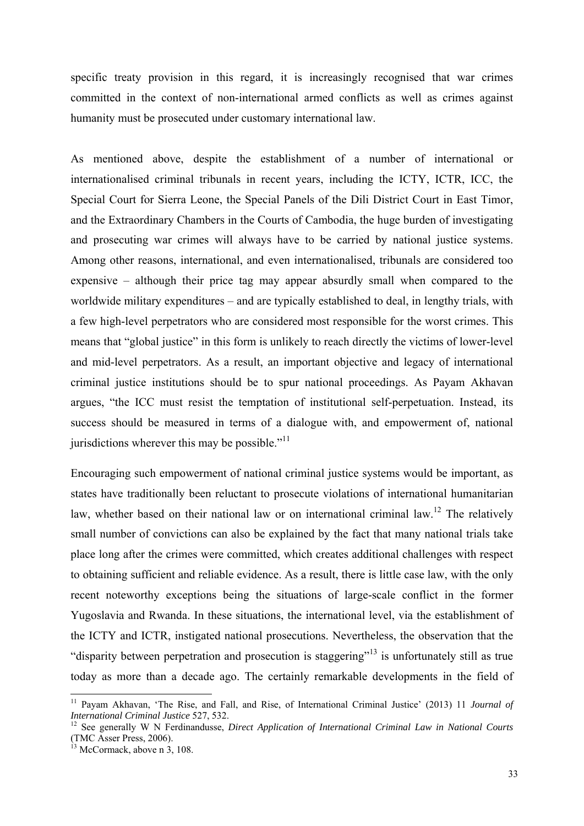specific treaty provision in this regard, it is increasingly recognised that war crimes committed in the context of non-international armed conflicts as well as crimes against humanity must be prosecuted under customary international law.

As mentioned above, despite the establishment of a number of international or internationalised criminal tribunals in recent years, including the ICTY, ICTR, ICC, the Special Court for Sierra Leone, the Special Panels of the Dili District Court in East Timor, and the Extraordinary Chambers in the Courts of Cambodia, the huge burden of investigating and prosecuting war crimes will always have to be carried by national justice systems. Among other reasons, international, and even internationalised, tribunals are considered too expensive – although their price tag may appear absurdly small when compared to the worldwide military expenditures – and are typically established to deal, in lengthy trials, with a few high-level perpetrators who are considered most responsible for the worst crimes. This means that "global justice" in this form is unlikely to reach directly the victims of lower-level and mid-level perpetrators. As a result, an important objective and legacy of international criminal justice institutions should be to spur national proceedings. As Payam Akhavan argues, "the ICC must resist the temptation of institutional self-perpetuation. Instead, its success should be measured in terms of a dialogue with, and empowerment of, national jurisdictions wherever this may be possible."<sup>11</sup>

Encouraging such empowerment of national criminal justice systems would be important, as states have traditionally been reluctant to prosecute violations of international humanitarian law, whether based on their national law or on international criminal law.<sup>12</sup> The relatively small number of convictions can also be explained by the fact that many national trials take place long after the crimes were committed, which creates additional challenges with respect to obtaining sufficient and reliable evidence. As a result, there is little case law, with the only recent noteworthy exceptions being the situations of large-scale conflict in the former Yugoslavia and Rwanda. In these situations, the international level, via the establishment of the ICTY and ICTR, instigated national prosecutions. Nevertheless, the observation that the "disparity between perpetration and prosecution is staggering"<sup>13</sup> is unfortunately still as true today as more than a decade ago. The certainly remarkable developments in the field of

<sup>11</sup> Payam Akhavan, 'The Rise, and Fall, and Rise, of International Criminal Justice' (2013) 11 *Journal of International Criminal Justice* 527, 532.<br><sup>12</sup> See generally W N Ferdinandusse, *Direct Application of International Criminal Law in National Courts* 

<sup>(</sup>TMC Asser Press, 2006).

 $13$  McCormack, above n 3, 108.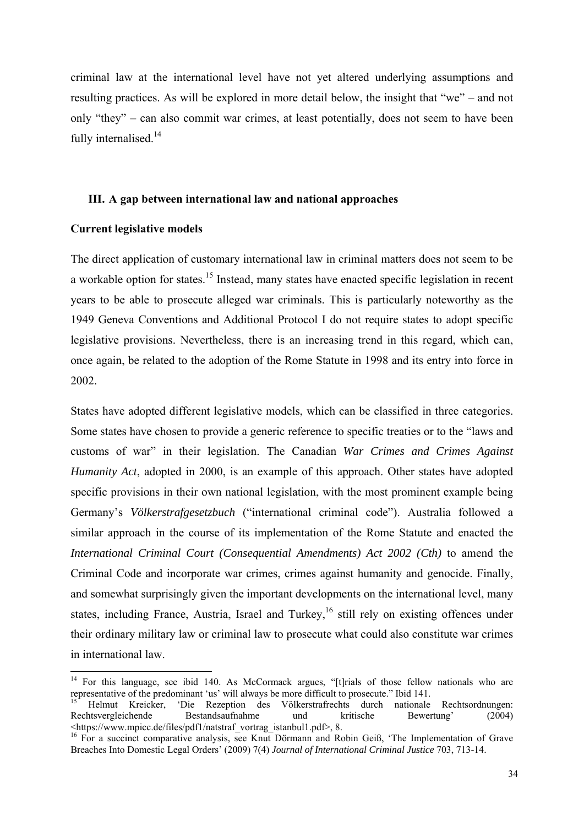criminal law at the international level have not yet altered underlying assumptions and resulting practices. As will be explored in more detail below, the insight that "we" – and not only "they" – can also commit war crimes, at least potentially, does not seem to have been fully internalised.<sup>14</sup>

## **III. A gap between international law and national approaches**

#### **Current legislative models**

The direct application of customary international law in criminal matters does not seem to be a workable option for states.<sup>15</sup> Instead, many states have enacted specific legislation in recent years to be able to prosecute alleged war criminals. This is particularly noteworthy as the 1949 Geneva Conventions and Additional Protocol I do not require states to adopt specific legislative provisions. Nevertheless, there is an increasing trend in this regard, which can, once again, be related to the adoption of the Rome Statute in 1998 and its entry into force in 2002.

States have adopted different legislative models, which can be classified in three categories. Some states have chosen to provide a generic reference to specific treaties or to the "laws and customs of war" in their legislation. The Canadian *War Crimes and Crimes Against Humanity Act*, adopted in 2000, is an example of this approach. Other states have adopted specific provisions in their own national legislation, with the most prominent example being Germany's *Völkerstrafgesetzbuch* ("international criminal code"). Australia followed a similar approach in the course of its implementation of the Rome Statute and enacted the *International Criminal Court (Consequential Amendments) Act 2002 (Cth)* to amend the Criminal Code and incorporate war crimes, crimes against humanity and genocide. Finally, and somewhat surprisingly given the important developments on the international level, many states, including France, Austria, Israel and Turkey,<sup>16</sup> still rely on existing offences under their ordinary military law or criminal law to prosecute what could also constitute war crimes in international law.

<sup>&</sup>lt;sup>14</sup> For this language, see ibid 140. As McCormack argues, "[t]rials of those fellow nationals who are representative of the predominant 'us' will always be more difficult to prosecute." Ibid 141.

<sup>15</sup> Helmut Kreicker, 'Die Rezeption des Völkerstrafrechts durch nationale Rechtsordnungen: Rechtsvergleichende Bestandsaufnahme und kritische Bewertung' (2004)<br>
<https://www.mpicc.de/files/pdf1/natstraf\_vortrag\_istanbul1.pdf>.8.

 $\frac{16}{16}$  For a succinct comparative analysis, see Knut Dörmann and Robin Geiß, 'The Implementation of Grave Breaches Into Domestic Legal Orders' (2009) 7(4) *Journal of International Criminal Justice* 703, 713-14.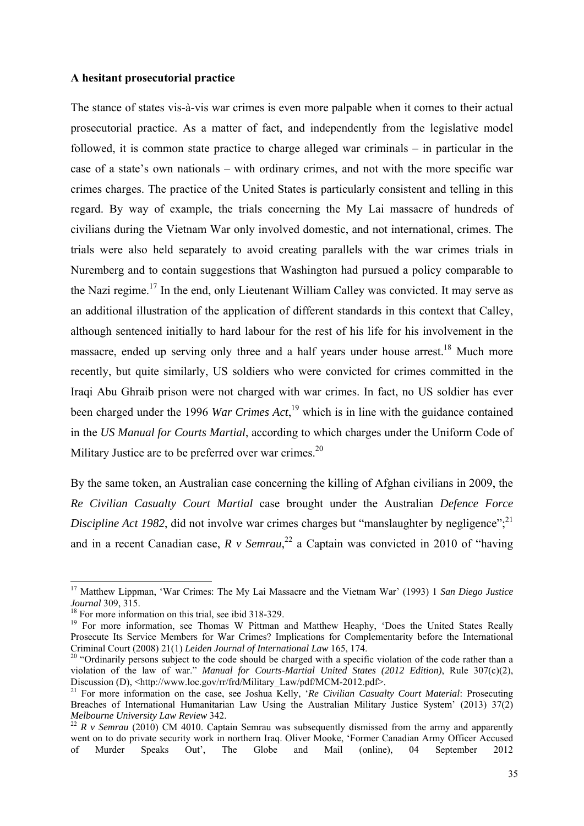#### **A hesitant prosecutorial practice**

The stance of states vis-à-vis war crimes is even more palpable when it comes to their actual prosecutorial practice. As a matter of fact, and independently from the legislative model followed, it is common state practice to charge alleged war criminals – in particular in the case of a state's own nationals – with ordinary crimes, and not with the more specific war crimes charges. The practice of the United States is particularly consistent and telling in this regard. By way of example, the trials concerning the My Lai massacre of hundreds of civilians during the Vietnam War only involved domestic, and not international, crimes. The trials were also held separately to avoid creating parallels with the war crimes trials in Nuremberg and to contain suggestions that Washington had pursued a policy comparable to the Nazi regime.<sup>17</sup> In the end, only Lieutenant William Calley was convicted. It may serve as an additional illustration of the application of different standards in this context that Calley, although sentenced initially to hard labour for the rest of his life for his involvement in the massacre, ended up serving only three and a half years under house arrest.<sup>18</sup> Much more recently, but quite similarly, US soldiers who were convicted for crimes committed in the Iraqi Abu Ghraib prison were not charged with war crimes. In fact, no US soldier has ever been charged under the 1996 *War Crimes Act*, 19 which is in line with the guidance contained in the *US Manual for Courts Martial*, according to which charges under the Uniform Code of Military Justice are to be preferred over war crimes.<sup>20</sup>

By the same token, an Australian case concerning the killing of Afghan civilians in 2009, the *Re Civilian Casualty Court Martial* case brought under the Australian *Defence Force Discipline Act 1982*, did not involve war crimes charges but "manslaughter by negligence";<sup>21</sup> and in a recent Canadian case,  $R \text{ v}$  Semrau,<sup>22</sup> a Captain was convicted in 2010 of "having

<sup>17</sup> Matthew Lippman, 'War Crimes: The My Lai Massacre and the Vietnam War' (1993) 1 *San Diego Justice Journal* 309, 315.<br><sup>18</sup> For more information on this trial, see ibid 318-329.

<sup>&</sup>lt;sup>19</sup> For more information, see Thomas W Pittman and Matthew Heaphy, 'Does the United States Really Prosecute Its Service Members for War Crimes? Implications for Complementarity before the International Criminal Court (2008) 21(1) *Leiden Journal of International Law* 165, 174. 20 "Ordinarily persons subject to the code should be charged with a specific violation of the code rather than a

violation of the law of war." *Manual for Courts-Martial United States (2012 Edition)*, Rule 307(c)(2), Discussion (D), <http://www.loc.gov/rr/frd/Military\_Law/pdf/MCM-2012.pdf>.

<sup>&</sup>lt;sup>21</sup> For more information on the case, see Joshua Kelly, '*Re Civilian Casualty Court Material*: Prosecuting Breaches of International Humanitarian Law Using the Australian Military Justice System' (2013) 37(2) *Melbourne University Law Review* 342.<br><sup>22</sup> *R v Semrau* (2010) CM 4010. Captain Semrau was subsequently dismissed from the army and apparently

went on to do private security work in northern Iraq. Oliver Mooke, 'Former Canadian Army Officer Accused of Murder Speaks Out', The Globe and Mail (online), 04 September 2012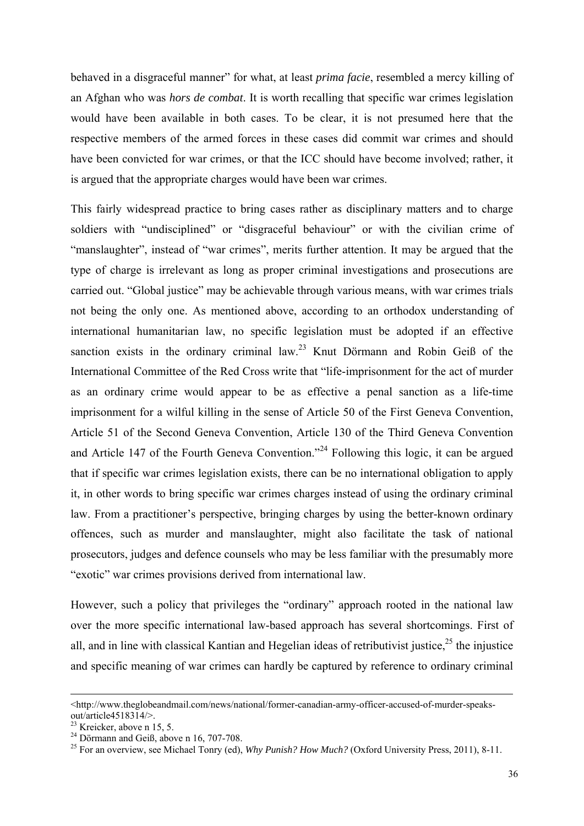behaved in a disgraceful manner" for what, at least *prima facie*, resembled a mercy killing of an Afghan who was *hors de combat*. It is worth recalling that specific war crimes legislation would have been available in both cases. To be clear, it is not presumed here that the respective members of the armed forces in these cases did commit war crimes and should have been convicted for war crimes, or that the ICC should have become involved; rather, it is argued that the appropriate charges would have been war crimes.

This fairly widespread practice to bring cases rather as disciplinary matters and to charge soldiers with "undisciplined" or "disgraceful behaviour" or with the civilian crime of "manslaughter", instead of "war crimes", merits further attention. It may be argued that the type of charge is irrelevant as long as proper criminal investigations and prosecutions are carried out. "Global justice" may be achievable through various means, with war crimes trials not being the only one. As mentioned above, according to an orthodox understanding of international humanitarian law, no specific legislation must be adopted if an effective sanction exists in the ordinary criminal law.<sup>23</sup> Knut Dörmann and Robin Geiß of the International Committee of the Red Cross write that "life-imprisonment for the act of murder as an ordinary crime would appear to be as effective a penal sanction as a life-time imprisonment for a wilful killing in the sense of Article 50 of the First Geneva Convention, Article 51 of the Second Geneva Convention, Article 130 of the Third Geneva Convention and Article 147 of the Fourth Geneva Convention."24 Following this logic, it can be argued that if specific war crimes legislation exists, there can be no international obligation to apply it, in other words to bring specific war crimes charges instead of using the ordinary criminal law. From a practitioner's perspective, bringing charges by using the better-known ordinary offences, such as murder and manslaughter, might also facilitate the task of national prosecutors, judges and defence counsels who may be less familiar with the presumably more "exotic" war crimes provisions derived from international law.

However, such a policy that privileges the "ordinary" approach rooted in the national law over the more specific international law-based approach has several shortcomings. First of all, and in line with classical Kantian and Hegelian ideas of retributivist justice,<sup>25</sup> the injustice and specific meaning of war crimes can hardly be captured by reference to ordinary criminal

<sup>&</sup>lt;http://www.theglobeandmail.com/news/national/former-canadian-army-officer-accused-of-murder-speaksout/article4518314/>.

 $23$  Kreicker, above n 15, 5.

 $^{24}$  Dörmann and Geiß, above n 16, 707-708.

<sup>25</sup> For an overview, see Michael Tonry (ed), *Why Punish? How Much?* (Oxford University Press, 2011), 8-11.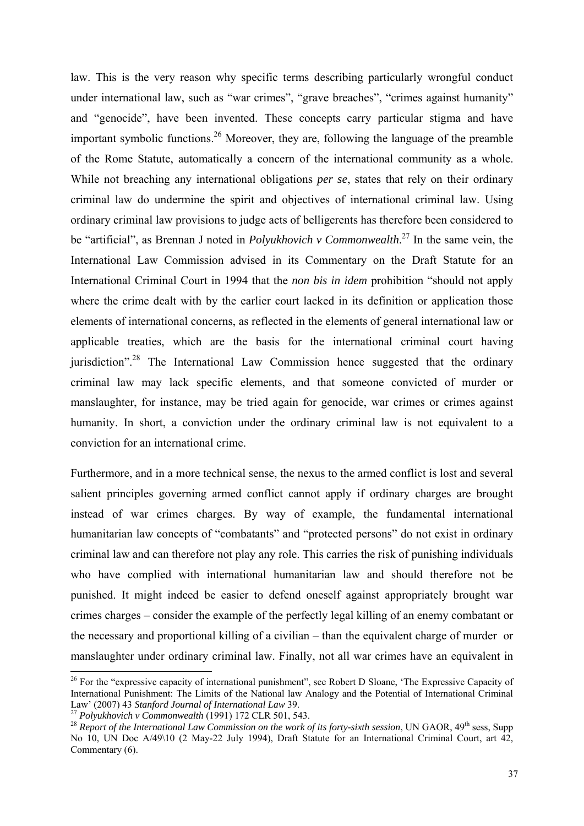law. This is the very reason why specific terms describing particularly wrongful conduct under international law, such as "war crimes", "grave breaches", "crimes against humanity" and "genocide", have been invented. These concepts carry particular stigma and have important symbolic functions.<sup>26</sup> Moreover, they are, following the language of the preamble of the Rome Statute, automatically a concern of the international community as a whole. While not breaching any international obligations *per se*, states that rely on their ordinary criminal law do undermine the spirit and objectives of international criminal law. Using ordinary criminal law provisions to judge acts of belligerents has therefore been considered to be "artificial", as Brennan J noted in *Polyukhovich v Commonwealth*. 27 In the same vein, the International Law Commission advised in its Commentary on the Draft Statute for an International Criminal Court in 1994 that the *non bis in idem* prohibition "should not apply where the crime dealt with by the earlier court lacked in its definition or application those elements of international concerns, as reflected in the elements of general international law or applicable treaties, which are the basis for the international criminal court having jurisdiction".<sup>28</sup> The International Law Commission hence suggested that the ordinary criminal law may lack specific elements, and that someone convicted of murder or manslaughter, for instance, may be tried again for genocide, war crimes or crimes against humanity. In short, a conviction under the ordinary criminal law is not equivalent to a conviction for an international crime.

Furthermore, and in a more technical sense, the nexus to the armed conflict is lost and several salient principles governing armed conflict cannot apply if ordinary charges are brought instead of war crimes charges. By way of example, the fundamental international humanitarian law concepts of "combatants" and "protected persons" do not exist in ordinary criminal law and can therefore not play any role. This carries the risk of punishing individuals who have complied with international humanitarian law and should therefore not be punished. It might indeed be easier to defend oneself against appropriately brought war crimes charges – consider the example of the perfectly legal killing of an enemy combatant or the necessary and proportional killing of a civilian – than the equivalent charge of murder or manslaughter under ordinary criminal law. Finally, not all war crimes have an equivalent in

<sup>&</sup>lt;sup>26</sup> For the "expressive capacity of international punishment", see Robert D Sloane, 'The Expressive Capacity of International Punishment: The Limits of the National law Analogy and the Potential of International Criminal Law' (2007) 43 Stanford Journal of International Law 39.

<sup>&</sup>lt;sup>27</sup> Polyukhovich v Commonwealth (1991) 172 CLR 501, 543.<br><sup>28</sup> Report of the International Law Commission on the work of its forty-sixth session, UN GAOR, 49<sup>th</sup> sess, Supp No 10, UN Doc A/49\10 (2 May-22 July 1994), Draft Statute for an International Criminal Court, art 42, Commentary (6).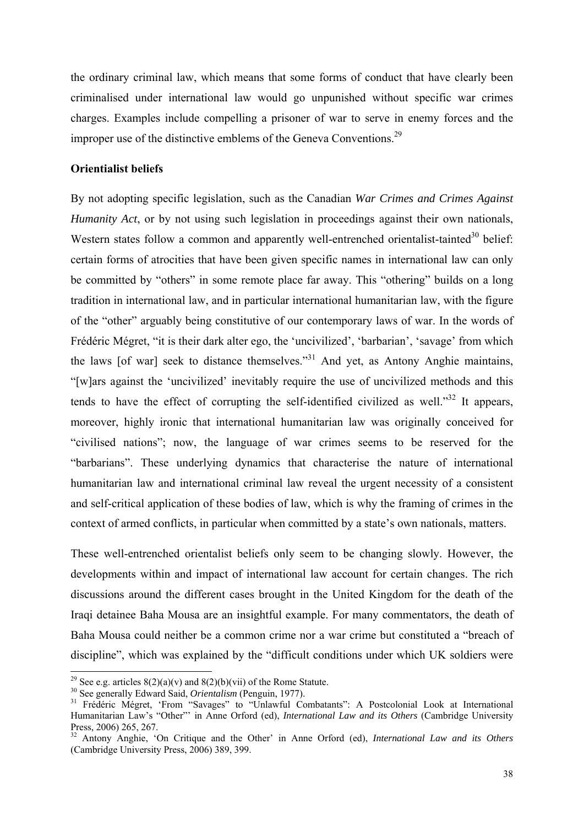the ordinary criminal law, which means that some forms of conduct that have clearly been criminalised under international law would go unpunished without specific war crimes charges. Examples include compelling a prisoner of war to serve in enemy forces and the improper use of the distinctive emblems of the Geneva Conventions.<sup>29</sup>

## **Orientialist beliefs**

By not adopting specific legislation, such as the Canadian *War Crimes and Crimes Against Humanity Act*, or by not using such legislation in proceedings against their own nationals, Western states follow a common and apparently well-entrenched orientalist-tainted<sup>30</sup> belief: certain forms of atrocities that have been given specific names in international law can only be committed by "others" in some remote place far away. This "othering" builds on a long tradition in international law, and in particular international humanitarian law, with the figure of the "other" arguably being constitutive of our contemporary laws of war. In the words of Frédéric Mégret, "it is their dark alter ego, the 'uncivilized', 'barbarian', 'savage' from which the laws [of war] seek to distance themselves."31 And yet, as Antony Anghie maintains, "[w]ars against the 'uncivilized' inevitably require the use of uncivilized methods and this tends to have the effect of corrupting the self-identified civilized as well." $32$  It appears, moreover, highly ironic that international humanitarian law was originally conceived for "civilised nations"; now, the language of war crimes seems to be reserved for the "barbarians". These underlying dynamics that characterise the nature of international humanitarian law and international criminal law reveal the urgent necessity of a consistent and self-critical application of these bodies of law, which is why the framing of crimes in the context of armed conflicts, in particular when committed by a state's own nationals, matters.

These well-entrenched orientalist beliefs only seem to be changing slowly. However, the developments within and impact of international law account for certain changes. The rich discussions around the different cases brought in the United Kingdom for the death of the Iraqi detainee Baha Mousa are an insightful example. For many commentators, the death of Baha Mousa could neither be a common crime nor a war crime but constituted a "breach of discipline", which was explained by the "difficult conditions under which UK soldiers were

<sup>&</sup>lt;sup>29</sup> See e.g. articles  $8(2)(a)(v)$  and  $8(2)(b)(vi)$  of the Rome Statute.<br><sup>30</sup> See generally Edward Said, *Orientalism* (Penguin, 1977).<br><sup>31</sup> Frédéric Mégret, 'From "Savages" to "Unlawful Combatants": A Postcolonial Look at I Humanitarian Law's "Other"' in Anne Orford (ed), *International Law and its Others* (Cambridge University Press, 2006) 265, 267.

<sup>32</sup> Antony Anghie, 'On Critique and the Other' in Anne Orford (ed), *International Law and its Others* (Cambridge University Press, 2006) 389, 399.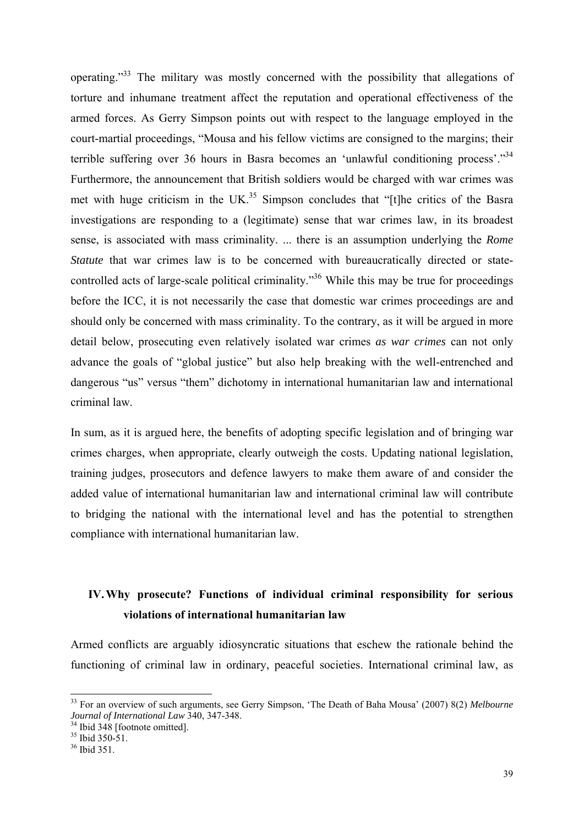operating."33 The military was mostly concerned with the possibility that allegations of torture and inhumane treatment affect the reputation and operational effectiveness of the armed forces. As Gerry Simpson points out with respect to the language employed in the court-martial proceedings, "Mousa and his fellow victims are consigned to the margins; their terrible suffering over 36 hours in Basra becomes an 'unlawful conditioning process'."34 Furthermore, the announcement that British soldiers would be charged with war crimes was met with huge criticism in the  $UK^{35}$  Simpson concludes that "[t]he critics of the Basra investigations are responding to a (legitimate) sense that war crimes law, in its broadest sense, is associated with mass criminality. ... there is an assumption underlying the *Rome Statute* that war crimes law is to be concerned with bureaucratically directed or statecontrolled acts of large-scale political criminality.<sup>36</sup> While this may be true for proceedings before the ICC, it is not necessarily the case that domestic war crimes proceedings are and should only be concerned with mass criminality. To the contrary, as it will be argued in more detail below, prosecuting even relatively isolated war crimes *as war crimes* can not only advance the goals of "global justice" but also help breaking with the well-entrenched and dangerous "us" versus "them" dichotomy in international humanitarian law and international criminal law.

In sum, as it is argued here, the benefits of adopting specific legislation and of bringing war crimes charges, when appropriate, clearly outweigh the costs. Updating national legislation, training judges, prosecutors and defence lawyers to make them aware of and consider the added value of international humanitarian law and international criminal law will contribute to bridging the national with the international level and has the potential to strengthen compliance with international humanitarian law.

# **IV.Why prosecute? Functions of individual criminal responsibility for serious violations of international humanitarian law**

Armed conflicts are arguably idiosyncratic situations that eschew the rationale behind the functioning of criminal law in ordinary, peaceful societies. International criminal law, as

<sup>33</sup> For an overview of such arguments, see Gerry Simpson, 'The Death of Baha Mousa' (2007) 8(2) *Melbourne Journal of International Law* 340, 347-348.<br><sup>34</sup> Ibid 348 [footnote omitted].

<sup>&</sup>lt;sup>35</sup> Ibid 350-51.

<sup>36</sup> Ibid 351.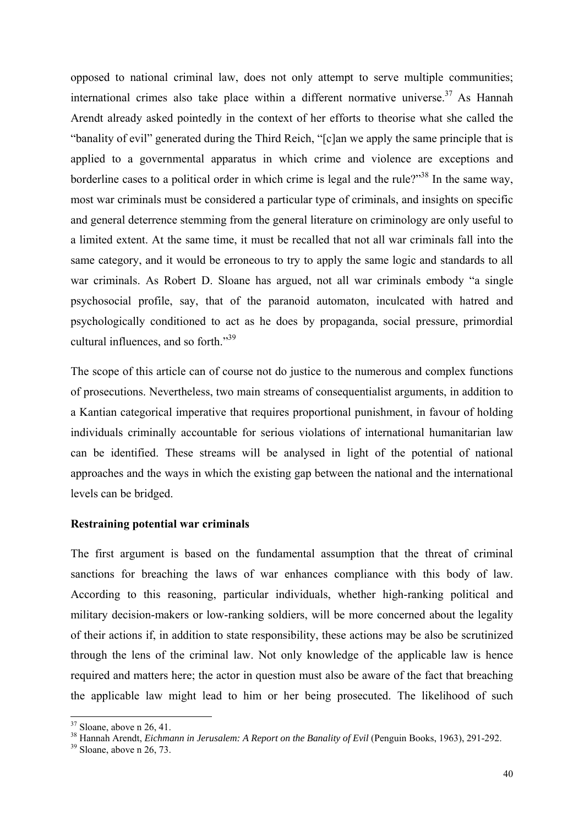opposed to national criminal law, does not only attempt to serve multiple communities; international crimes also take place within a different normative universe.<sup>37</sup> As Hannah Arendt already asked pointedly in the context of her efforts to theorise what she called the "banality of evil" generated during the Third Reich, "[c]an we apply the same principle that is applied to a governmental apparatus in which crime and violence are exceptions and borderline cases to a political order in which crime is legal and the rule?"<sup>38</sup> In the same way, most war criminals must be considered a particular type of criminals, and insights on specific and general deterrence stemming from the general literature on criminology are only useful to a limited extent. At the same time, it must be recalled that not all war criminals fall into the same category, and it would be erroneous to try to apply the same logic and standards to all war criminals. As Robert D. Sloane has argued, not all war criminals embody "a single psychosocial profile, say, that of the paranoid automaton, inculcated with hatred and psychologically conditioned to act as he does by propaganda, social pressure, primordial cultural influences, and so forth."39

The scope of this article can of course not do justice to the numerous and complex functions of prosecutions. Nevertheless, two main streams of consequentialist arguments, in addition to a Kantian categorical imperative that requires proportional punishment, in favour of holding individuals criminally accountable for serious violations of international humanitarian law can be identified. These streams will be analysed in light of the potential of national approaches and the ways in which the existing gap between the national and the international levels can be bridged.

### **Restraining potential war criminals**

The first argument is based on the fundamental assumption that the threat of criminal sanctions for breaching the laws of war enhances compliance with this body of law. According to this reasoning, particular individuals, whether high-ranking political and military decision-makers or low-ranking soldiers, will be more concerned about the legality of their actions if, in addition to state responsibility, these actions may be also be scrutinized through the lens of the criminal law. Not only knowledge of the applicable law is hence required and matters here; the actor in question must also be aware of the fact that breaching the applicable law might lead to him or her being prosecuted. The likelihood of such

 $37$  Sloane, above n 26, 41.

<sup>38</sup> Hannah Arendt, *Eichmann in Jerusalem: A Report on the Banality of Evil* (Penguin Books, 1963), 291-292.<br><sup>39</sup> Sloane, above n 26, 73.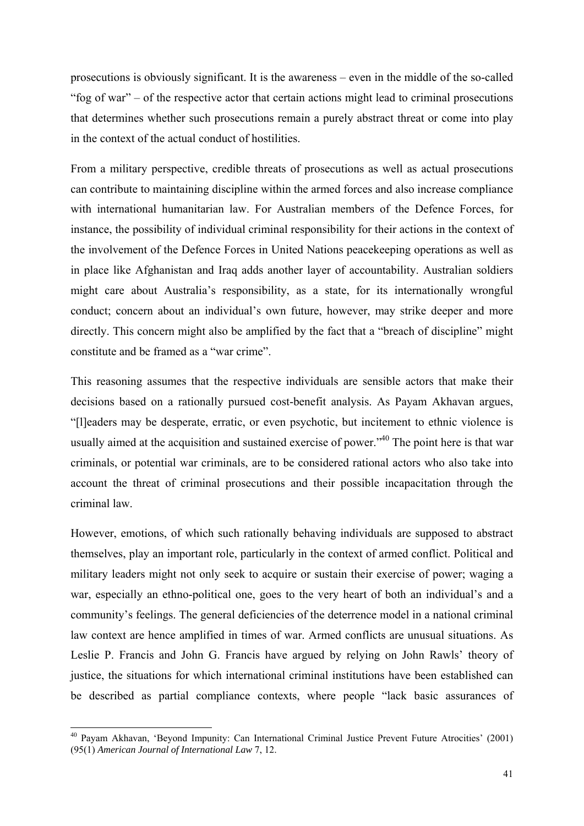prosecutions is obviously significant. It is the awareness – even in the middle of the so-called "fog of war" – of the respective actor that certain actions might lead to criminal prosecutions that determines whether such prosecutions remain a purely abstract threat or come into play in the context of the actual conduct of hostilities.

From a military perspective, credible threats of prosecutions as well as actual prosecutions can contribute to maintaining discipline within the armed forces and also increase compliance with international humanitarian law. For Australian members of the Defence Forces, for instance, the possibility of individual criminal responsibility for their actions in the context of the involvement of the Defence Forces in United Nations peacekeeping operations as well as in place like Afghanistan and Iraq adds another layer of accountability. Australian soldiers might care about Australia's responsibility, as a state, for its internationally wrongful conduct; concern about an individual's own future, however, may strike deeper and more directly. This concern might also be amplified by the fact that a "breach of discipline" might constitute and be framed as a "war crime".

This reasoning assumes that the respective individuals are sensible actors that make their decisions based on a rationally pursued cost-benefit analysis. As Payam Akhavan argues, "[l]eaders may be desperate, erratic, or even psychotic, but incitement to ethnic violence is usually aimed at the acquisition and sustained exercise of power.<sup>340</sup> The point here is that war criminals, or potential war criminals, are to be considered rational actors who also take into account the threat of criminal prosecutions and their possible incapacitation through the criminal law.

However, emotions, of which such rationally behaving individuals are supposed to abstract themselves, play an important role, particularly in the context of armed conflict. Political and military leaders might not only seek to acquire or sustain their exercise of power; waging a war, especially an ethno-political one, goes to the very heart of both an individual's and a community's feelings. The general deficiencies of the deterrence model in a national criminal law context are hence amplified in times of war. Armed conflicts are unusual situations. As Leslie P. Francis and John G. Francis have argued by relying on John Rawls' theory of justice, the situations for which international criminal institutions have been established can be described as partial compliance contexts, where people "lack basic assurances of

<sup>40</sup> Payam Akhavan, 'Beyond Impunity: Can International Criminal Justice Prevent Future Atrocities' (2001) (95(1) *American Journal of International Law* 7, 12.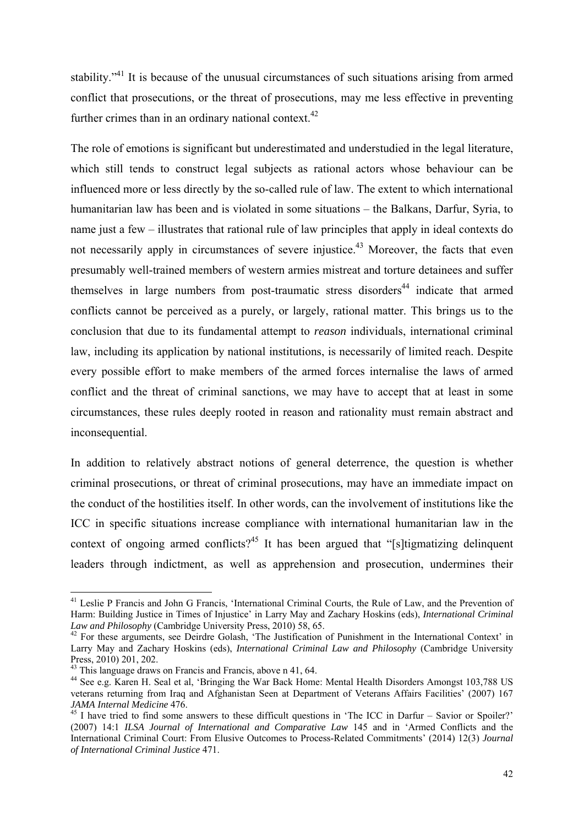stability."<sup>41</sup> It is because of the unusual circumstances of such situations arising from armed conflict that prosecutions, or the threat of prosecutions, may me less effective in preventing further crimes than in an ordinary national context. $42$ 

The role of emotions is significant but underestimated and understudied in the legal literature, which still tends to construct legal subjects as rational actors whose behaviour can be influenced more or less directly by the so-called rule of law. The extent to which international humanitarian law has been and is violated in some situations – the Balkans, Darfur, Syria, to name just a few – illustrates that rational rule of law principles that apply in ideal contexts do not necessarily apply in circumstances of severe injustice.<sup>43</sup> Moreover, the facts that even presumably well-trained members of western armies mistreat and torture detainees and suffer themselves in large numbers from post-traumatic stress disorders<sup>44</sup> indicate that armed conflicts cannot be perceived as a purely, or largely, rational matter. This brings us to the conclusion that due to its fundamental attempt to *reason* individuals, international criminal law, including its application by national institutions, is necessarily of limited reach. Despite every possible effort to make members of the armed forces internalise the laws of armed conflict and the threat of criminal sanctions, we may have to accept that at least in some circumstances, these rules deeply rooted in reason and rationality must remain abstract and inconsequential.

In addition to relatively abstract notions of general deterrence, the question is whether criminal prosecutions, or threat of criminal prosecutions, may have an immediate impact on the conduct of the hostilities itself. In other words, can the involvement of institutions like the ICC in specific situations increase compliance with international humanitarian law in the context of ongoing armed conflicts?<sup>45</sup> It has been argued that "[s]tigmatizing delinquent leaders through indictment, as well as apprehension and prosecution, undermines their

<sup>&</sup>lt;sup>41</sup> Leslie P Francis and John G Francis, 'International Criminal Courts, the Rule of Law, and the Prevention of Harm: Building Justice in Times of Injustice' in Larry May and Zachary Hoskins (eds), *International Criminal Law and Philosophy* (Cambridge University Press, 2010) 58, 65.<br><sup>42</sup> For these arguments, see Deirdre Golash, 'The Justification of Punishment in the International Context' in

Larry May and Zachary Hoskins (eds), *International Criminal Law and Philosophy* (Cambridge University Press, 2010) 201, 202.

<sup>&</sup>lt;sup>43</sup> This language draws on Francis and Francis, above n 41, 64.

<sup>44</sup> See e.g. Karen H. Seal et al, 'Bringing the War Back Home: Mental Health Disorders Amongst 103,788 US veterans returning from Iraq and Afghanistan Seen at Department of Veterans Affairs Facilities' (2007) 167<br>JAMA Internal Medicine 476

<sup>&</sup>lt;sup>45</sup> I have tried to find some answers to these difficult questions in 'The ICC in Darfur – Savior or Spoiler?' (2007) 14:1 *ILSA Journal of International and Comparative Law* 145 and in 'Armed Conflicts and the International Criminal Court: From Elusive Outcomes to Process-Related Commitments' (2014) 12(3) *Journal of International Criminal Justice* 471.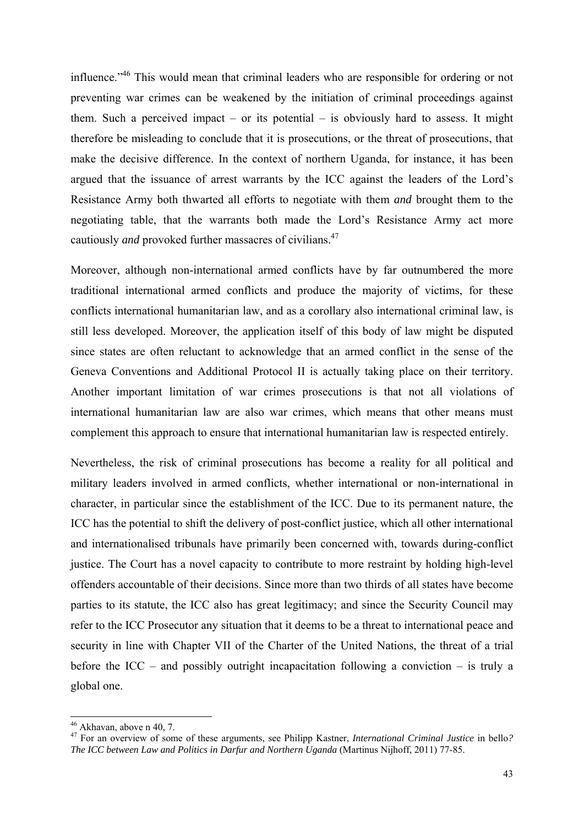influence."<sup>46</sup> This would mean that criminal leaders who are responsible for ordering or not preventing war crimes can be weakened by the initiation of criminal proceedings against them. Such a perceived impact – or its potential – is obviously hard to assess. It might therefore be misleading to conclude that it is prosecutions, or the threat of prosecutions, that make the decisive difference. In the context of northern Uganda, for instance, it has been argued that the issuance of arrest warrants by the ICC against the leaders of the Lord's Resistance Army both thwarted all efforts to negotiate with them *and* brought them to the negotiating table, that the warrants both made the Lord's Resistance Army act more cautiously *and* provoked further massacres of civilians.47

Moreover, although non-international armed conflicts have by far outnumbered the more traditional international armed conflicts and produce the majority of victims, for these conflicts international humanitarian law, and as a corollary also international criminal law, is still less developed. Moreover, the application itself of this body of law might be disputed since states are often reluctant to acknowledge that an armed conflict in the sense of the Geneva Conventions and Additional Protocol II is actually taking place on their territory. Another important limitation of war crimes prosecutions is that not all violations of international humanitarian law are also war crimes, which means that other means must complement this approach to ensure that international humanitarian law is respected entirely.

Nevertheless, the risk of criminal prosecutions has become a reality for all political and military leaders involved in armed conflicts, whether international or non-international in character, in particular since the establishment of the ICC. Due to its permanent nature, the ICC has the potential to shift the delivery of post-conflict justice, which all other international and internationalised tribunals have primarily been concerned with, towards during-conflict justice. The Court has a novel capacity to contribute to more restraint by holding high-level offenders accountable of their decisions. Since more than two thirds of all states have become parties to its statute, the ICC also has great legitimacy; and since the Security Council may refer to the ICC Prosecutor any situation that it deems to be a threat to international peace and security in line with Chapter VII of the Charter of the United Nations, the threat of a trial before the ICC – and possibly outright incapacitation following a conviction – is truly a global one.

<sup>46</sup> Akhavan, above n 40, 7.

<sup>47</sup> For an overview of some of these arguments, see Philipp Kastner, *International Criminal Justice* in bello*? The ICC between Law and Politics in Darfur and Northern Uganda* (Martinus Nijhoff, 2011) 77-85.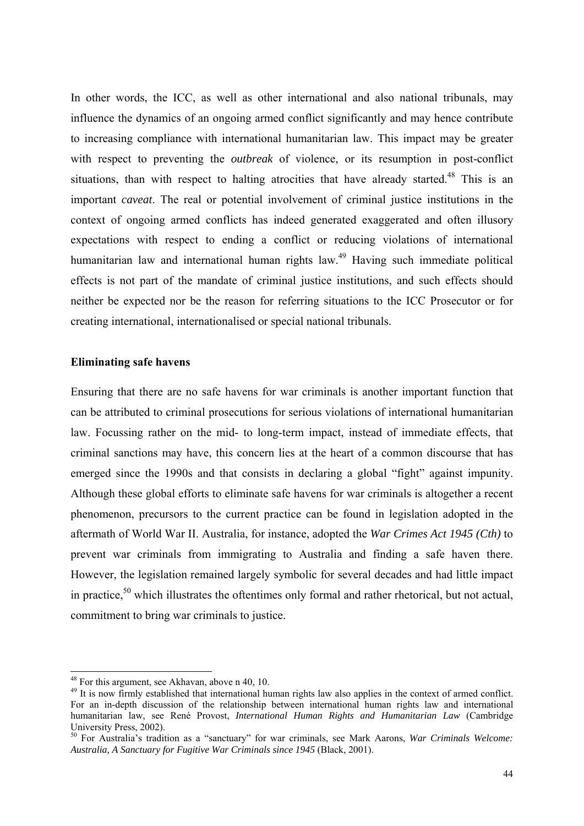In other words, the ICC, as well as other international and also national tribunals, may influence the dynamics of an ongoing armed conflict significantly and may hence contribute to increasing compliance with international humanitarian law. This impact may be greater with respect to preventing the *outbreak* of violence, or its resumption in post-conflict situations, than with respect to halting atrocities that have already started.<sup>48</sup> This is an important *caveat*. The real or potential involvement of criminal justice institutions in the context of ongoing armed conflicts has indeed generated exaggerated and often illusory expectations with respect to ending a conflict or reducing violations of international humanitarian law and international human rights law.<sup>49</sup> Having such immediate political effects is not part of the mandate of criminal justice institutions, and such effects should neither be expected nor be the reason for referring situations to the ICC Prosecutor or for creating international, internationalised or special national tribunals.

## **Eliminating safe havens**

Ensuring that there are no safe havens for war criminals is another important function that can be attributed to criminal prosecutions for serious violations of international humanitarian law. Focussing rather on the mid- to long-term impact, instead of immediate effects, that criminal sanctions may have, this concern lies at the heart of a common discourse that has emerged since the 1990s and that consists in declaring a global "fight" against impunity. Although these global efforts to eliminate safe havens for war criminals is altogether a recent phenomenon, precursors to the current practice can be found in legislation adopted in the aftermath of World War II. Australia, for instance, adopted the *War Crimes Act 1945 (Cth)* to prevent war criminals from immigrating to Australia and finding a safe haven there. However, the legislation remained largely symbolic for several decades and had little impact in practice,<sup>50</sup> which illustrates the oftentimes only formal and rather rhetorical, but not actual, commitment to bring war criminals to justice.

<sup>48</sup> For this argument, see Akhavan, above n 40, 10.

<sup>&</sup>lt;sup>49</sup> It is now firmly established that international human rights law also applies in the context of armed conflict. For an in-depth discussion of the relationship between international human rights law and international humanitarian law, see René Provost, *International Human Rights and Humanitarian Law* (Cambridge University Press, 2002).

<sup>50</sup> For Australia's tradition as a "sanctuary" for war criminals, see Mark Aarons, *War Criminals Welcome: Australia, A Sanctuary for Fugitive War Criminals since 1945* (Black, 2001).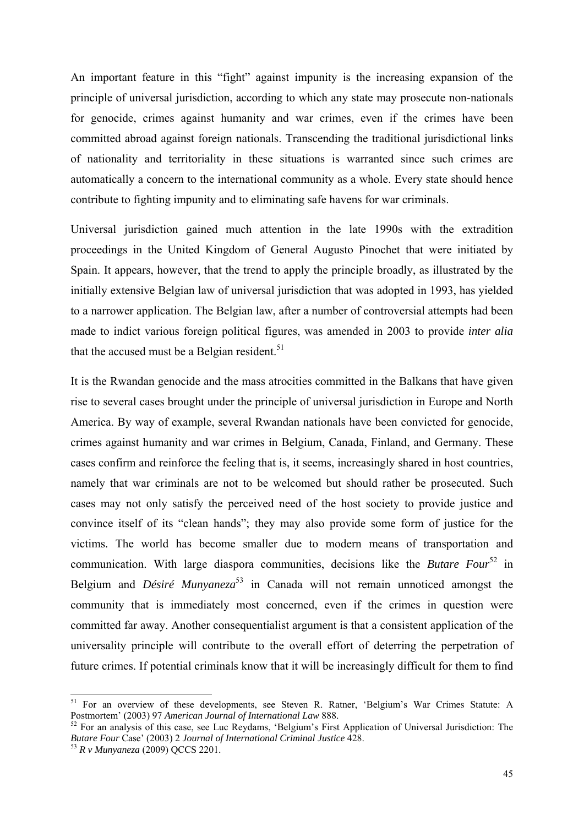An important feature in this "fight" against impunity is the increasing expansion of the principle of universal jurisdiction, according to which any state may prosecute non-nationals for genocide, crimes against humanity and war crimes, even if the crimes have been committed abroad against foreign nationals. Transcending the traditional jurisdictional links of nationality and territoriality in these situations is warranted since such crimes are automatically a concern to the international community as a whole. Every state should hence contribute to fighting impunity and to eliminating safe havens for war criminals.

Universal jurisdiction gained much attention in the late 1990s with the extradition proceedings in the United Kingdom of General Augusto Pinochet that were initiated by Spain. It appears, however, that the trend to apply the principle broadly, as illustrated by the initially extensive Belgian law of universal jurisdiction that was adopted in 1993, has yielded to a narrower application. The Belgian law, after a number of controversial attempts had been made to indict various foreign political figures, was amended in 2003 to provide *inter alia* that the accused must be a Belgian resident.<sup>51</sup>

It is the Rwandan genocide and the mass atrocities committed in the Balkans that have given rise to several cases brought under the principle of universal jurisdiction in Europe and North America. By way of example, several Rwandan nationals have been convicted for genocide, crimes against humanity and war crimes in Belgium, Canada, Finland, and Germany. These cases confirm and reinforce the feeling that is, it seems, increasingly shared in host countries, namely that war criminals are not to be welcomed but should rather be prosecuted. Such cases may not only satisfy the perceived need of the host society to provide justice and convince itself of its "clean hands"; they may also provide some form of justice for the victims. The world has become smaller due to modern means of transportation and communication. With large diaspora communities, decisions like the *Butare Four*52 in Belgium and *Désiré Munyaneza*53 in Canada will not remain unnoticed amongst the community that is immediately most concerned, even if the crimes in question were committed far away. Another consequentialist argument is that a consistent application of the universality principle will contribute to the overall effort of deterring the perpetration of future crimes. If potential criminals know that it will be increasingly difficult for them to find

<sup>&</sup>lt;sup>51</sup> For an overview of these developments, see Steven R. Ratner, 'Belgium's War Crimes Statute: A Postmortem' (2003) 97 American Journal of International Law 888.

<sup>&</sup>lt;sup>52</sup> For an analysis of this case, see Luc Reydams, 'Belgium's First Application of Universal Jurisdiction: The *Butare Four* Case' (2003) 2 *Journal of International Criminal Justice* 428. 53 *R v Munyaneza* (2009) QCCS 2201.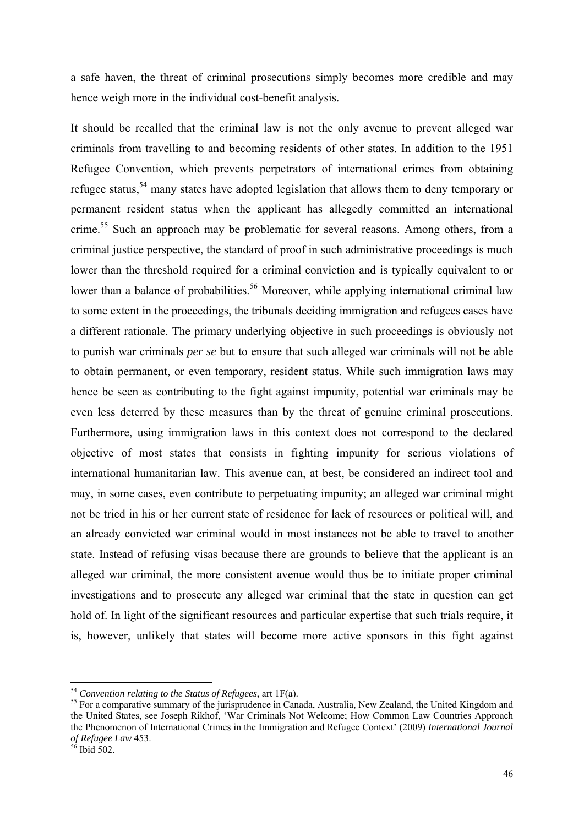a safe haven, the threat of criminal prosecutions simply becomes more credible and may hence weigh more in the individual cost-benefit analysis.

It should be recalled that the criminal law is not the only avenue to prevent alleged war criminals from travelling to and becoming residents of other states. In addition to the 1951 Refugee Convention, which prevents perpetrators of international crimes from obtaining refugee status,<sup>54</sup> many states have adopted legislation that allows them to deny temporary or permanent resident status when the applicant has allegedly committed an international crime.<sup>55</sup> Such an approach may be problematic for several reasons. Among others, from a criminal justice perspective, the standard of proof in such administrative proceedings is much lower than the threshold required for a criminal conviction and is typically equivalent to or lower than a balance of probabilities.<sup>56</sup> Moreover, while applying international criminal law to some extent in the proceedings, the tribunals deciding immigration and refugees cases have a different rationale. The primary underlying objective in such proceedings is obviously not to punish war criminals *per se* but to ensure that such alleged war criminals will not be able to obtain permanent, or even temporary, resident status. While such immigration laws may hence be seen as contributing to the fight against impunity, potential war criminals may be even less deterred by these measures than by the threat of genuine criminal prosecutions. Furthermore, using immigration laws in this context does not correspond to the declared objective of most states that consists in fighting impunity for serious violations of international humanitarian law. This avenue can, at best, be considered an indirect tool and may, in some cases, even contribute to perpetuating impunity; an alleged war criminal might not be tried in his or her current state of residence for lack of resources or political will, and an already convicted war criminal would in most instances not be able to travel to another state. Instead of refusing visas because there are grounds to believe that the applicant is an alleged war criminal, the more consistent avenue would thus be to initiate proper criminal investigations and to prosecute any alleged war criminal that the state in question can get hold of. In light of the significant resources and particular expertise that such trials require, it is, however, unlikely that states will become more active sponsors in this fight against

<sup>&</sup>lt;sup>54</sup> Convention relating to the Status of Refugees, art 1F(a).<br><sup>55</sup> For a comparative summary of the jurisprudence in Canada, Australia, New Zealand, the United Kingdom and the United States, see Joseph Rikhof, 'War Criminals Not Welcome; How Common Law Countries Approach the Phenomenon of International Crimes in the Immigration and Refugee Context' (2009) *International Journal of Refugee Law* 453. 56 Ibid 502.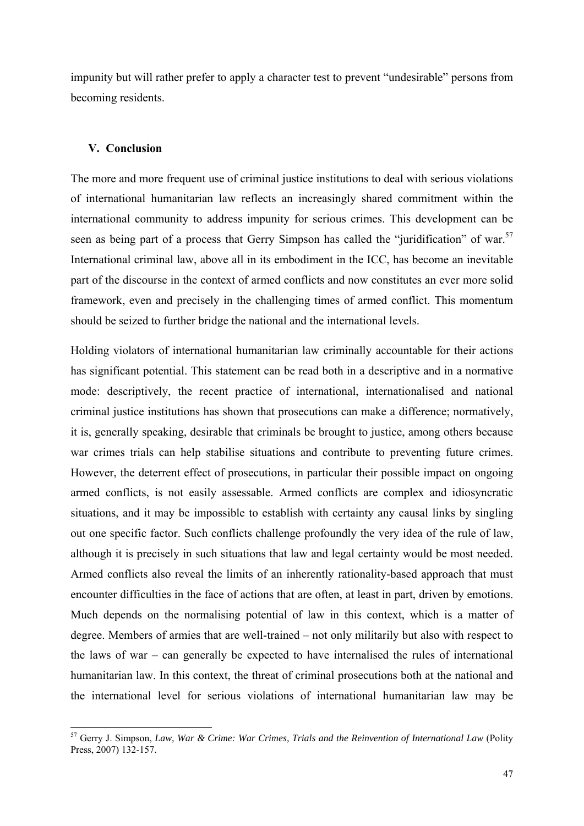impunity but will rather prefer to apply a character test to prevent "undesirable" persons from becoming residents.

#### **V. Conclusion**

The more and more frequent use of criminal justice institutions to deal with serious violations of international humanitarian law reflects an increasingly shared commitment within the international community to address impunity for serious crimes. This development can be seen as being part of a process that Gerry Simpson has called the "juridification" of war.<sup>57</sup> International criminal law, above all in its embodiment in the ICC, has become an inevitable part of the discourse in the context of armed conflicts and now constitutes an ever more solid framework, even and precisely in the challenging times of armed conflict. This momentum should be seized to further bridge the national and the international levels.

Holding violators of international humanitarian law criminally accountable for their actions has significant potential. This statement can be read both in a descriptive and in a normative mode: descriptively, the recent practice of international, internationalised and national criminal justice institutions has shown that prosecutions can make a difference; normatively, it is, generally speaking, desirable that criminals be brought to justice, among others because war crimes trials can help stabilise situations and contribute to preventing future crimes. However, the deterrent effect of prosecutions, in particular their possible impact on ongoing armed conflicts, is not easily assessable. Armed conflicts are complex and idiosyncratic situations, and it may be impossible to establish with certainty any causal links by singling out one specific factor. Such conflicts challenge profoundly the very idea of the rule of law, although it is precisely in such situations that law and legal certainty would be most needed. Armed conflicts also reveal the limits of an inherently rationality-based approach that must encounter difficulties in the face of actions that are often, at least in part, driven by emotions. Much depends on the normalising potential of law in this context, which is a matter of degree. Members of armies that are well-trained – not only militarily but also with respect to the laws of war – can generally be expected to have internalised the rules of international humanitarian law. In this context, the threat of criminal prosecutions both at the national and the international level for serious violations of international humanitarian law may be

<sup>57</sup> Gerry J. Simpson, *Law, War & Crime: War Crimes, Trials and the Reinvention of International Law* (Polity Press, 2007) 132-157.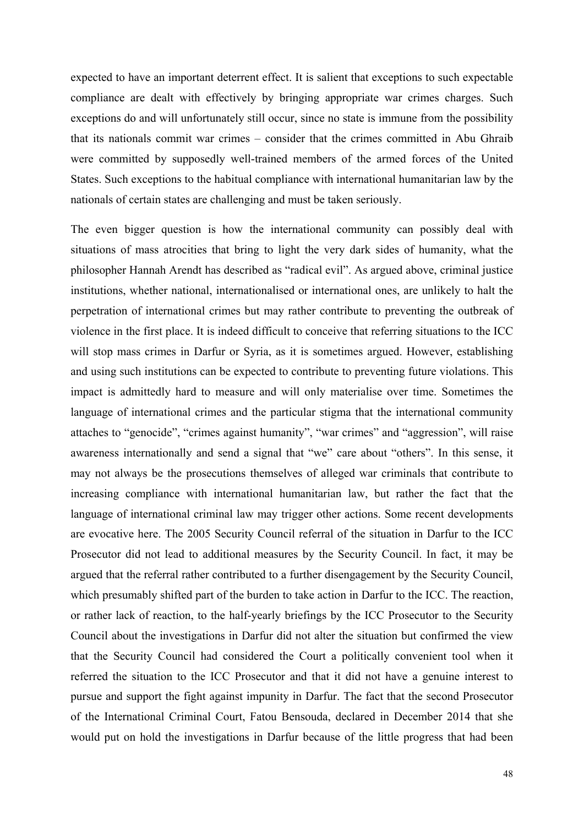expected to have an important deterrent effect. It is salient that exceptions to such expectable compliance are dealt with effectively by bringing appropriate war crimes charges. Such exceptions do and will unfortunately still occur, since no state is immune from the possibility that its nationals commit war crimes – consider that the crimes committed in Abu Ghraib were committed by supposedly well-trained members of the armed forces of the United States. Such exceptions to the habitual compliance with international humanitarian law by the nationals of certain states are challenging and must be taken seriously.

The even bigger question is how the international community can possibly deal with situations of mass atrocities that bring to light the very dark sides of humanity, what the philosopher Hannah Arendt has described as "radical evil". As argued above, criminal justice institutions, whether national, internationalised or international ones, are unlikely to halt the perpetration of international crimes but may rather contribute to preventing the outbreak of violence in the first place. It is indeed difficult to conceive that referring situations to the ICC will stop mass crimes in Darfur or Syria, as it is sometimes argued. However, establishing and using such institutions can be expected to contribute to preventing future violations. This impact is admittedly hard to measure and will only materialise over time. Sometimes the language of international crimes and the particular stigma that the international community attaches to "genocide", "crimes against humanity", "war crimes" and "aggression", will raise awareness internationally and send a signal that "we" care about "others". In this sense, it may not always be the prosecutions themselves of alleged war criminals that contribute to increasing compliance with international humanitarian law, but rather the fact that the language of international criminal law may trigger other actions. Some recent developments are evocative here. The 2005 Security Council referral of the situation in Darfur to the ICC Prosecutor did not lead to additional measures by the Security Council. In fact, it may be argued that the referral rather contributed to a further disengagement by the Security Council, which presumably shifted part of the burden to take action in Darfur to the ICC. The reaction, or rather lack of reaction, to the half-yearly briefings by the ICC Prosecutor to the Security Council about the investigations in Darfur did not alter the situation but confirmed the view that the Security Council had considered the Court a politically convenient tool when it referred the situation to the ICC Prosecutor and that it did not have a genuine interest to pursue and support the fight against impunity in Darfur. The fact that the second Prosecutor of the International Criminal Court, Fatou Bensouda, declared in December 2014 that she would put on hold the investigations in Darfur because of the little progress that had been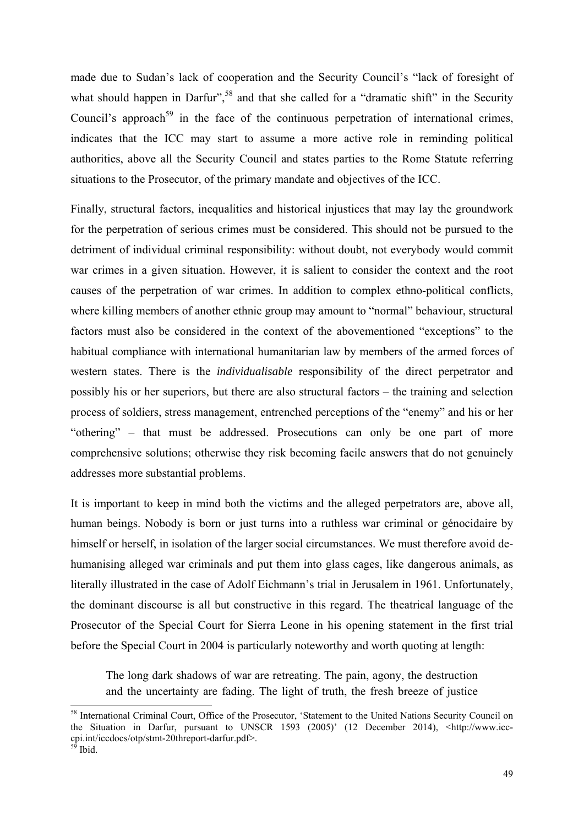made due to Sudan's lack of cooperation and the Security Council's "lack of foresight of what should happen in Darfur",<sup>58</sup> and that she called for a "dramatic shift" in the Security Council's approach<sup>59</sup> in the face of the continuous perpetration of international crimes, indicates that the ICC may start to assume a more active role in reminding political authorities, above all the Security Council and states parties to the Rome Statute referring situations to the Prosecutor, of the primary mandate and objectives of the ICC.

Finally, structural factors, inequalities and historical injustices that may lay the groundwork for the perpetration of serious crimes must be considered. This should not be pursued to the detriment of individual criminal responsibility: without doubt, not everybody would commit war crimes in a given situation. However, it is salient to consider the context and the root causes of the perpetration of war crimes. In addition to complex ethno-political conflicts, where killing members of another ethnic group may amount to "normal" behaviour, structural factors must also be considered in the context of the abovementioned "exceptions" to the habitual compliance with international humanitarian law by members of the armed forces of western states. There is the *individualisable* responsibility of the direct perpetrator and possibly his or her superiors, but there are also structural factors – the training and selection process of soldiers, stress management, entrenched perceptions of the "enemy" and his or her "othering" – that must be addressed. Prosecutions can only be one part of more comprehensive solutions; otherwise they risk becoming facile answers that do not genuinely addresses more substantial problems.

It is important to keep in mind both the victims and the alleged perpetrators are, above all, human beings. Nobody is born or just turns into a ruthless war criminal or génocidaire by himself or herself, in isolation of the larger social circumstances. We must therefore avoid dehumanising alleged war criminals and put them into glass cages, like dangerous animals, as literally illustrated in the case of Adolf Eichmann's trial in Jerusalem in 1961. Unfortunately, the dominant discourse is all but constructive in this regard. The theatrical language of the Prosecutor of the Special Court for Sierra Leone in his opening statement in the first trial before the Special Court in 2004 is particularly noteworthy and worth quoting at length:

The long dark shadows of war are retreating. The pain, agony, the destruction and the uncertainty are fading. The light of truth, the fresh breeze of justice

<sup>&</sup>lt;sup>58</sup> International Criminal Court, Office of the Prosecutor, 'Statement to the United Nations Security Council on the Situation in Darfur, pursuant to UNSCR 1593 (2005)' (12 December 2014), <http://www.icccpi.int/iccdocs/otp/stmt-20threport-darfur.pdf>.

 $59$  Ibid.